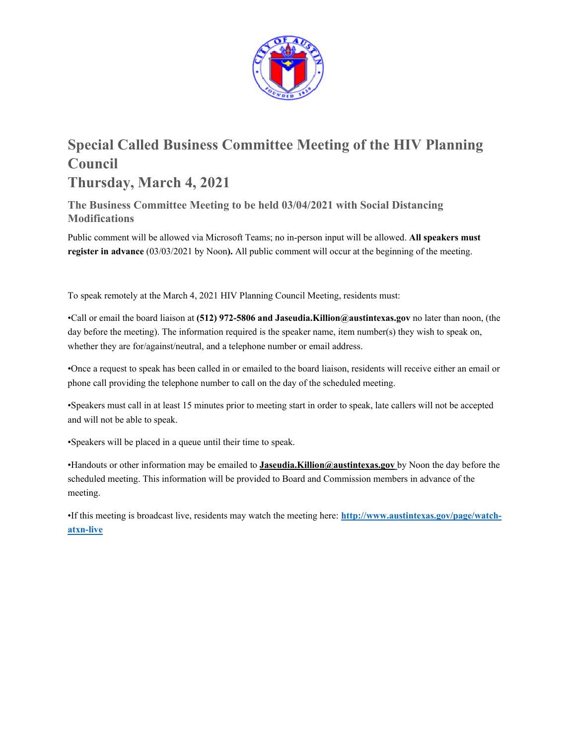

# **Special Called Business Committee Meeting of the HIV Planning Council Thursday, March 4, 2021**

**The Business Committee Meeting to be held 03/04/2021 with Social Distancing Modifications** 

Public comment will be allowed via Microsoft Teams; no in-person input will be allowed. **All speakers must register in advance** (03/03/2021 by Noon**).** All public comment will occur at the beginning of the meeting.

To speak remotely at the March 4, 2021 HIV Planning Council Meeting, residents must:

•Call or email the board liaison at **(512) 972-5806 and Jaseudia.Killion@austintexas.gov** no later than noon, (the day before the meeting). The information required is the speaker name, item number(s) they wish to speak on, whether they are for/against/neutral, and a telephone number or email address.

•Once a request to speak has been called in or emailed to the board liaison, residents will receive either an email or phone call providing the telephone number to call on the day of the scheduled meeting.

•Speakers must call in at least 15 minutes prior to meeting start in order to speak, late callers will not be accepted and will not be able to speak.

•Speakers will be placed in a queue until their time to speak.

•Handouts or other information may be emailed to **Jaseudia.Killion@austintexas.gov** by Noon the day before the scheduled meeting. This information will be provided to Board and Commission members in advance of the meeting.

•If this meeting is broadcast live, residents may watch the meeting here: **http://www.austintexas.gov/page/watchatxn-live**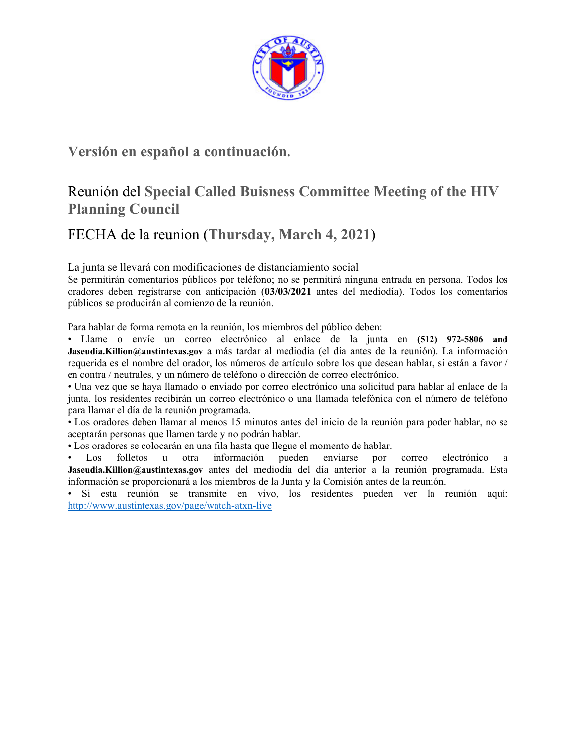

## **Versión en español a continuación.**

## Reunión del **Special Called Buisness Committee Meeting of the HIV Planning Council**

# FECHA de la reunion (**Thursday, March 4, 2021**)

La junta se llevará con modificaciones de distanciamiento social

Se permitirán comentarios públicos por teléfono; no se permitirá ninguna entrada en persona. Todos los oradores deben registrarse con anticipación (**03/03/2021** antes del mediodía). Todos los comentarios públicos se producirán al comienzo de la reunión.

Para hablar de forma remota en la reunión, los miembros del público deben:

• Llame o envíe un correo electrónico al enlace de la junta en **(512) 972-5806 and Jaseudia.Killion@austintexas.gov** a más tardar al mediodía (el día antes de la reunión). La información requerida es el nombre del orador, los números de artículo sobre los que desean hablar, si están a favor / en contra / neutrales, y un número de teléfono o dirección de correo electrónico.

• Una vez que se haya llamado o enviado por correo electrónico una solicitud para hablar al enlace de la junta, los residentes recibirán un correo electrónico o una llamada telefónica con el número de teléfono para llamar el día de la reunión programada.

• Los oradores deben llamar al menos 15 minutos antes del inicio de la reunión para poder hablar, no se aceptarán personas que llamen tarde y no podrán hablar.

• Los oradores se colocarán en una fila hasta que llegue el momento de hablar.

• Los folletos u otra información pueden enviarse por correo electrónico a **Jaseudia.Killion@austintexas.gov** antes del mediodía del día anterior a la reunión programada. Esta información se proporcionará a los miembros de la Junta y la Comisión antes de la reunión.

• Si esta reunión se transmite en vivo, los residentes pueden ver la reunión aquí: http://www.austintexas.gov/page/watch-atxn-live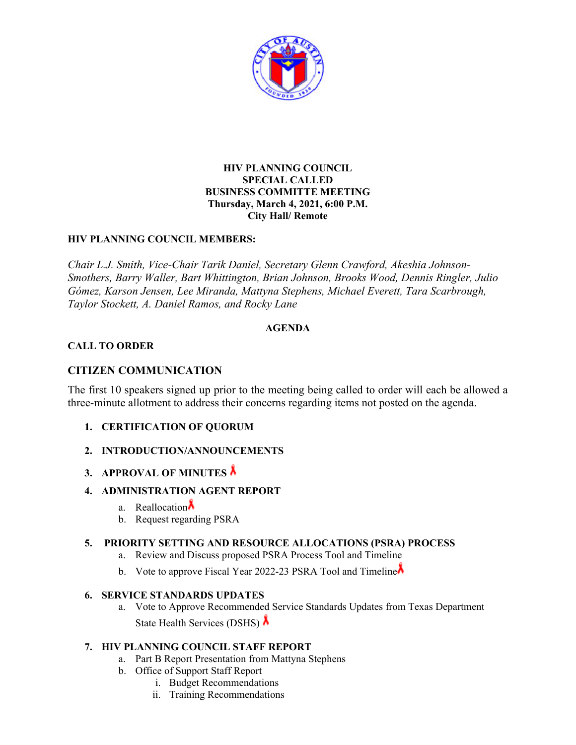

## **HIV PLANNING COUNCIL SPECIAL CALLED BUSINESS COMMITTE MEETING Thursday, March 4, 2021, 6:00 P.M. City Hall/ Remote**

## **HIV PLANNING COUNCIL MEMBERS:**

*Chair L.J. Smith, Vice-Chair Tarik Daniel, Secretary Glenn Crawford, Akeshia Johnson-Smothers, Barry Waller, Bart Whittington, Brian Johnson, Brooks Wood, Dennis Ringler, Julio Gómez, Karson Jensen, Lee Miranda, Mattyna Stephens, Michael Everett, Tara Scarbrough, Taylor Stockett, A. Daniel Ramos, and Rocky Lane* 

## **AGENDA**

## **CALL TO ORDER**

## **CITIZEN COMMUNICATION**

The first 10 speakers signed up prior to the meeting being called to order will each be allowed a three-minute allotment to address their concerns regarding items not posted on the agenda.

- **1. CERTIFICATION OF QUORUM**
- **2. INTRODUCTION/ANNOUNCEMENTS**
- **3. APPROVAL OF MINUTES**
- **4. ADMINISTRATION AGENT REPORT** 
	- a. Reallocation $\lambda$
	- b. Request regarding PSRA

### **5. PRIORITY SETTING AND RESOURCE ALLOCATIONS (PSRA) PROCESS**

- a. Review and Discuss proposed PSRA Process Tool and Timeline
- b. Vote to approve Fiscal Year 2022-23 PSRA Tool and Timeline

### **6. SERVICE STANDARDS UPDATES**

a. Vote to Approve Recommended Service Standards Updates from Texas Department State Health Services (DSHS)

## **7. HIV PLANNING COUNCIL STAFF REPORT**

- a. Part B Report Presentation from Mattyna Stephens
- b. Office of Support Staff Report
	- i. Budget Recommendations
	- ii. Training Recommendations